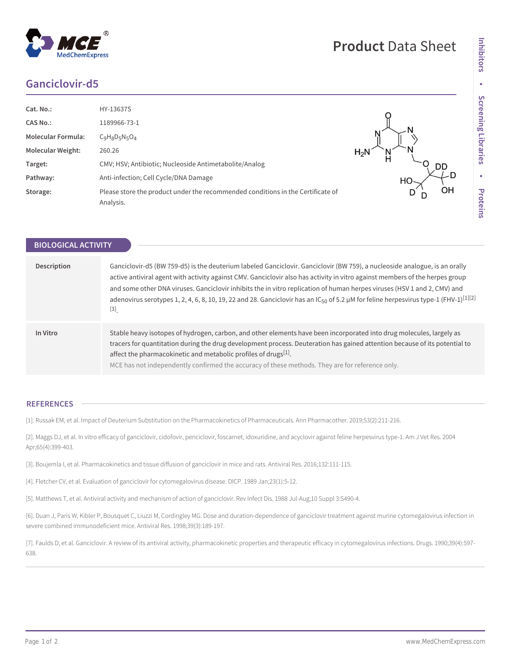## **Ganciclovir-d5**

**BIOLOGICAL ACTIVITY**

| Cat. No.:                 | HY-13637S                                                                                    |        |
|---------------------------|----------------------------------------------------------------------------------------------|--------|
| <b>CAS No.:</b>           | 1189966-73-1                                                                                 |        |
| <b>Molecular Formula:</b> | $C_9H_8D_5N_5O_4$                                                                            |        |
| <b>Molecular Weight:</b>  | 260.26                                                                                       | $H_2N$ |
| Target:                   | CMV; HSV; Antibiotic; Nucleoside Antimetabolite/Analog                                       | DD     |
| Pathway:                  | Anti-infection; Cell Cycle/DNA Damage                                                        | HО     |
| Storage:                  | Please store the product under the recommended conditions in the Certificate of<br>Analysis. | OH     |

**Description** Ganciclovir-d5 (BW 759-d5) is the deuterium labeled Ganciclovir. Ganciclovir (BW 759), a nucleoside analogue, is an orally active antiviral agent with activity against CMV. Ganciclovir also has activity in vitro against members of the herpes group and some other DNA viruses. Ganciclovir inhibits the in vitro replication of human herpes viruses (HSV 1 and 2, CMV) and adenovirus serotypes 1, 2, 4, 6, 8, 10, 19, 22 and 28. Ganciclovir has an IC<sub>50</sub> of 5.2  $\mu$ M for feline herpesvirus type-1 (FHV-1)<sup>[1][2]</sup> [3] . **In Vitro** Stable heavy isotopes of hydrogen, carbon, and other elements have been incorporated into drug molecules, largely as tracers for quantitation during the drug development process. Deuteration has gained attention because of its potential to affect the pharmacokinetic and metabolic profiles of drugs $^{[1]}$ . MCE has not independently confirmed the accuracy of these methods. They are for reference only.

## **REFERENCES**

[1]. Russak EM, et al. Impact of Deuterium Substitution on the Pharmacokinetics of Pharmaceuticals. Ann Pharmacother. 2019;53(2):211-216.

[2]. Maggs DJ, et al. In vitro efficacy of ganciclovir, cidofovir, penciclovir, foscarnet, idoxuridine, and acyclovir against feline herpesvirus type-1. Am J Vet Res. 2004 Apr;65(4):399-403.

[3]. Boujemla I, et al. Pharmacokinetics and tissue diffusion of ganciclovir in mice and rats. Antiviral Res. 2016;132:111-115.

[4]. Fletcher CV, et al. Evaluation of ganciclovir for cytomegalovirus disease. DICP. 1989 Jan;23(1):5-12.

[5]. Matthews T, et al. Antiviral activity and mechanism of action of ganciclovir. Rev Infect Dis. 1988 Jul-Aug;10 Suppl 3:S490-4.

[6]. Duan J, Paris W, Kibler P, Bousquet C, Liuzzi M, Cordingley MG. Dose and duration-dependence of ganciclovir treatment against murine cytomegalovirus infection in severe combined immunodeficient mice. Antiviral Res. 1998;39(3):189-197.

[7]. Faulds D, et al. Ganciclovir. A review of its antiviral activity, pharmacokinetic properties and therapeutic efficacy in cytomegalovirus infections. Drugs. 1990;39(4):597- 638.

## **Product** Data Sheet